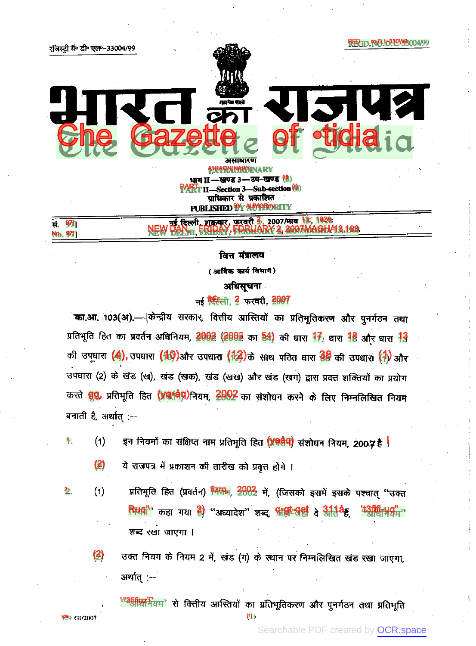

(आर्थिक कार्य विभाग)

# अधिसूचना

नई सिटिली, 2 फरवरी, 2007

'का.आ. 103(अ).— किन्द्रीय सरकार, वित्तीय आस्तियों का प्रतिभूतिकरण और पुनर्गठन तथा प्रतिभूति हित का प्रवर्तन अधिनियम, 2002 (2002 का 54) की धारा <sup>17</sup>, धारा <sup>18</sup> और धारा <sup>13</sup> की उपघारा (4), उपघारा (10) और उपघारा (12) के साथ पठित घारा 38 की उपघारा (1) और उपधारा (2) के खंड (ख), खंड (खक), खंड (खख) और खंड (खग) द्वारा प्रदत्त शक्तियों का प्रयोग करते <mark>gg</mark>, प्रतिभूति हित (ya<sup>{a}</sup>q)नियम, 2002 का संशोधन करने के लिए निम्नलिखित नियम बनाती है, अर्थात :--

इन नियमों का संक्षिप्त नाम प्रतिभूति हित <mark>(प्रवेद्दीप)</mark> संशोधन नियम, 200ा**?** है | 1.  $(1)$ 

- (2) ये राजपत्र में प्रकाशन की तारीख को प्रवृत्त होंगे ।
- प्रतिभूति हित (प्रवर्तन) <mark>म्दिष्क्ष, 2002</mark> में, (जिसको इसमें इसके पश्चात् "उक्त 2.  $(1)$ Ruqi" कहा गया है) "अध्यादेश" शब्द पीर्श्वान्तर्शि वे अतिथिह शब्द रखा जाएगा ।

(2) उक्त नियम के नियम 2 में, खंड (ग) के स्थान पर निम्नलिखित खंड रखा जाएगा, अर्थात् :--

(1)

' "3fifiuzT'

Searchable PDF created by [OCR.space](https://ocr.space/r=p)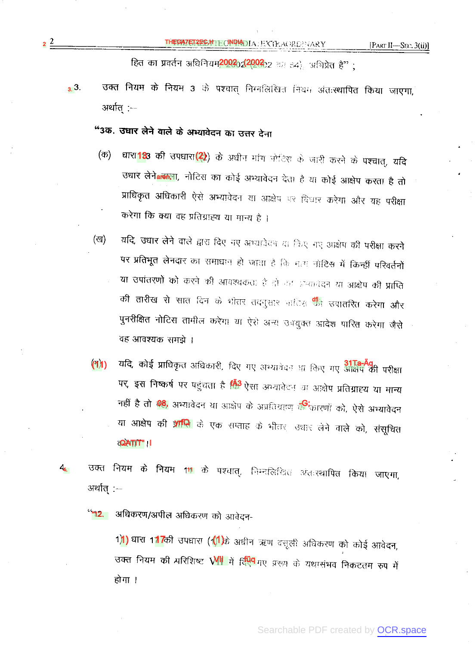[PART II-SEC.  $3(ii)$ ]

हित का प्रवर्तन अधिनियम<mark>2002;2(2002</mark>;2 वस इ4), अभिप्रेत हैं" ;

उक्त नियम के नियम 3 के पश्चात् निम्नलिखित नियम अंतःस्थापित किया जाएगा,  $3.3.$ अर्थात :--

"3क. उधार लेने वाले के अभ्यावेदन का उत्तर देना

 $2^2$ 

- घारा 183 की उपघारा (2) के अधीन मांग नोटिस के जारी करने के पश्चात्, यदि (क) उधार लेने**aलिला,** नोटिस का कोई अभ्यावेदन देता है या कोई आक्षेप करता है तो प्राधिकृत अधिकारी ऐसे अभ्यावेदन या आक्षेप पर दिवार करेगा और यह परीक्षा करेगा कि क्या वह प्रतिग्राह्य या मान्य है ।
- यदि, उधार लेने वाले द्वारा दिए नए अभ्यावेदन या किए नए आक्षेप की परीक्षा करने (ख) पर प्रतिभूत लेनदार का समाधान हो जाता है कि मत्य नोटिस में किन्हीं परिवर्तनों या उपांतरणों को करने की आवश्यकता है दो उन जन्मगंदन या आक्षेप की प्राप्ति की तारीख से सात दिन के भीतर तदनुसार भाटिस <sup>धीन</sup> उपातरित करेगा और पुनरीक्षित नोटिस तामील करेगा या ऐसे अन्य उनयुक्त आदेश पारित करेगा जैसे वह आवश्यक समझे ।
- $(91)$ यदि, कोई प्राधिकृत अधिकारी, दिए गए अभ्यावेदन था किए गए <mark>अक्षिप की परीक्षा</mark> पर, इस निष्कर्ष पर पहुंचता है <u>कि</u> ऐसा अभ्यावेदन या आक्षेप प्रतिग्राह्य या मान्य नहीं है तो 108, अभ्यावेदन था आक्षेप के अप्रतिग्रहण द<mark>क्षि</mark>कारणों को, ऐसे अभ्यावेदन या आक्षेप की <mark>प्राप्ति</mark> के एक सप्ताह के भीतर, उधार लेने वाले को, संसूचित **OATIT**"!
- उक्त नियम के नियम 11 के पश्चात्, निम्नलिखित अंतःस्थापित किया जाएगा,  $\mathcal{A}_{\mathbf{a}_{n}}$ अर्थात् :-

"<mark>"12. अधिकरण/अपील अधिकरण को आवेदन-</mark>

1) धारा 117की उपधारा (11) के अधीन ऋण वसूली अधिकरण को कोई आवेदन, उक्त नियम की प्ररिशिष्ट WH में र्हि<mark>पेप</mark> गए प्ररूप के यथासंभव निकटतम रुप में होगा ।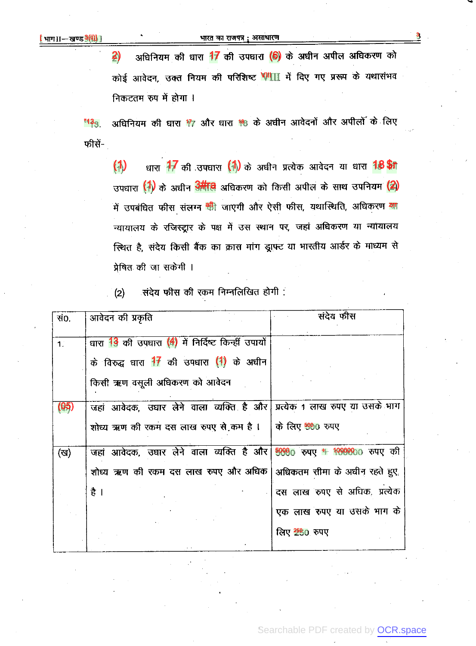### भारत का राजपत्र; असाधारण

अधिनियम की धारा 17 की उपघारा (6) के अघीन अपील अधिकरण को  $\mathbf{2}$ कोई आवेदन, उक्त नियम की परिशिष्ट WIII में दिए गए प्ररूप के यथासंभव निकटतम रुप में होगा ।

अधिनियम की घारा 17 और घारा 18 के अधीन आवेदनों और अपीलों के लिए "13ვ फीसें-

धारा 77 की उपधारा (1) के अघीन प्रत्येक आवेदन या धारा 18 जी  $(1)$ उपधारा (1) के अधीन अमीवि अधिकरण को किसी अपील के साथ उपनियम (2) में उपबंधित फीस संलग्न <mark>भी</mark> जाएगी और ऐसी फीस, यथास्थिति, अधिकरण <mark>या</mark> न्यायालय के रजिस्ट्रार के पक्ष में उस स्थान पर, जहां अधिकरण या न्यायालय स्थित है, संदेय किसी बैंक का क्रास मांग ड्राफ्ट या भारतीय आर्डर के माध्यम से प्रेषित की जा सकेगी ।

संदेय फीस की रकम निम्नलिखित होगी :  $(2)$ 

| सं0.           | आवेदन की प्रकृति                                                         | संदेय फीस                      |
|----------------|--------------------------------------------------------------------------|--------------------------------|
| 1 <sup>2</sup> | धारा 13 की उपधारा (4) में निर्दिष्ट किन्हीं उपायों                       |                                |
|                | के विरुद्ध घारा 17 की उपघारा (1) के अधीन                                 |                                |
|                | किसी ऋण वसूली अधिकरण को आवेदन                                            |                                |
| (05)           | जहां आवेदक, उधार लेने वाला व्यक्ति है और प्रत्येक 1 लाख रुपए या उसके भाग |                                |
|                | शोध्य ऋण की रकम दस लाख रुपए से कम है।                                    | के लिए <mark>500</mark> 0 रुपए |
| (ख)            | जहां आवेदक, उधार लेने वाला व्यक्ति है और 5000 रुपए # 100000 रुपए की      |                                |
|                | शोध्य ऋण की रकम दस लाख रुपए और अधिक   अधिकतम सीमा के अधीन रहते हुए,      |                                |
|                | है $\vert$                                                               | दस लाख रुपए से अधिक, प्रत्येक  |
|                |                                                                          | एक लाख रुपए या उसके भाग के     |
|                |                                                                          | <u>तिए 2580</u> रुपए           |
|                |                                                                          |                                |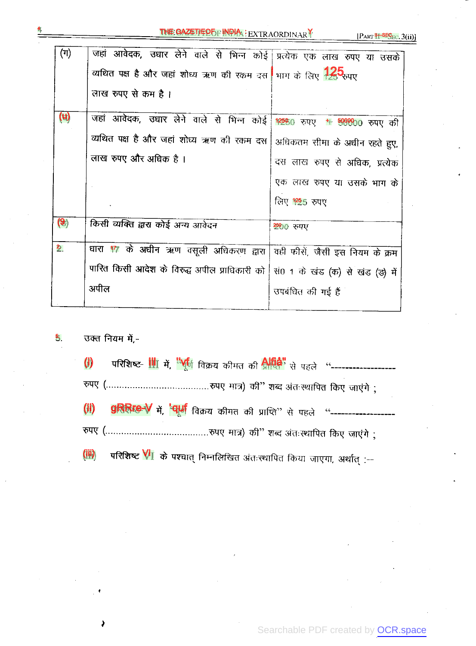| $(\pi)$              |                                                                                             |                               |
|----------------------|---------------------------------------------------------------------------------------------|-------------------------------|
|                      | जहां आवेदक, उधार लेने वाले से भिन्न कोई प्रत्येक एक लाख रुपए या उसके                        |                               |
|                      | व्यथित पक्ष है और जहां शोध्य ऋण की रकम दस माग के लिए 25 ज़ुए                                |                               |
|                      | लाख रुपए से कम है ।                                                                         |                               |
|                      |                                                                                             |                               |
| (u)                  | जहां आवेदक, उधार लेने वाले से भिन्न कोई <mark>12580</mark> रुपए <del>1 500000</del> रुपए की |                               |
|                      | व्यथित पक्ष है और जहां शोध्य ऋण की रकम दस                                                   | अधिकतम सीमा के अधीन रहते हुए, |
|                      | लाख रुपए और अधिक है ।                                                                       | दस लाख रुपए से अधिक, प्रत्येक |
|                      |                                                                                             | एक लाख रुपए या उसके भाग के    |
|                      |                                                                                             | लिए 125 रुपए                  |
|                      |                                                                                             |                               |
| $\left( 9\right)$    | किसी व्यक्ति द्वारा कोई अन्य आवेदन                                                          | 2000 रुपए                     |
| $\hat{\mathbf{z}}$ . | धारा 17 के अधीन ऋण वसूली अधिकरण द्वारा   वही फीसें, जैसी इस नियम के क्रम                    |                               |
|                      | पारित किसी आदेश के विरुद्ध अपील प्राधिकारी को   सं0 1 के खंड (क) से खंड (ड़) में            |                               |
|                      | अपील                                                                                        | उपबंधित की गई है              |
|                      |                                                                                             |                               |

### उक्त नियम में,- $5.$

| $\left( i\right)$ |                                                                                  |
|-------------------|----------------------------------------------------------------------------------|
|                   |                                                                                  |
|                   | (ii) gRRice-V में, 'पूर्ण विक्रय कीमत की प्राप्ति'' से पहले "------------------- |
|                   |                                                                                  |
|                   | (iii) परिशिष्ट VI के पश्चात् निम्नलिखित अंतःस्थापित किया जाएगा, अर्थात :--       |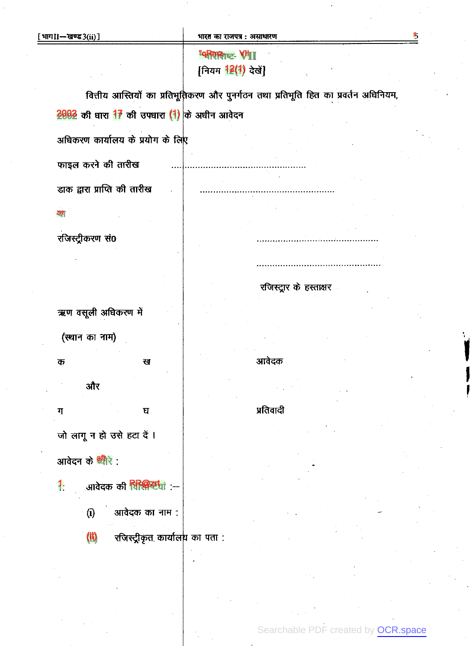# "परिशश्च<sub>प्य</sub> Vii [नियम 12(1) देखें]

वित्तीय आस्तियों का प्रतिभूतिकरण और पुनर्गठन तथा प्रतिभूति हित का प्रवर्तन अधिनियम,

 $2002$  की घारा 17 की उपधारा (1) के अधीन आवेदन

अधिकरण कार्यालय के प्रयोग के लिए

फाइल करने की तारीख

डाक द्वारा प्राप्ति की तारीख

# ZIT

रजिस्ट्रीकरण सं0

ऋण वसूली अधिकरण में (स्थान का नाम)

क ख और ग घ जो लागू न हो उसे हटा दें।

आवेदन के <sup>श्री</sup>रे :

- 1. आवेदक की RR@टtui :--
	- $(i)$ आवेदक का नाम :
	- $(1)$ रजिस्ट्रीकृत कार्यालय का पता :

रजिस्ट्रार के हस्ताक्षर

आवेदक

# प्रतिवादी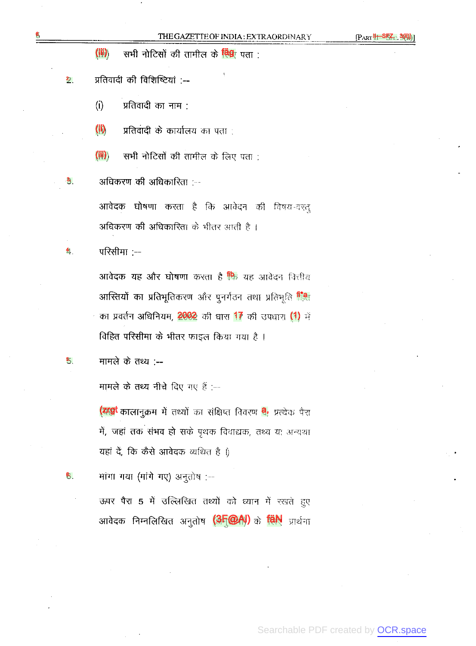$[PART$ 

 $(1)$ सभी नोटिसों की तामील के <mark>विश्</mark>र पता :

प्रतिवादी की विशिष्टियां :-- $\overline{2}$  .

> $(i)$ प्रतिवादी का नाम :

 $(i)$ प्रतिवादी के कार्यालय का पता :

सभी नोटिसों की तामील के लिए पता :  $(iii)$ 

अधिकरण की अधिकारिता :--

आवेदक घोषणा करता है कि आवेदन की विषय-वस्त् अधिकरण की अधिकारिता के भीतर आती है।

 $\frac{4}{7}$ परिसीमा :--

3,

5,

ნ.

**आवेदक यह और घोषणा** करता है <mark>फि</mark> यह आवेदन वित्तीय आस्तियों का प्रतिभूतिकरण और पुनर्गठन तथा प्रतिभूति सिंक का प्रवर्तन अधिनियम, 2002 की घारा 17 की उपधारा (1) में विहित परिसीमा के भीतर फाइल किया गया है ।

मामले के तथ्य :--

मामले के तथ्य नीचे दिए गए हैं :--

(याप्री कालानुक्रम में तथ्यों का संक्षिप्त विवरण <mark>वे,</mark> प्रत्येक पैरा में, जहां तक संभव हो सके पृथक विवाद्यक, तथ्य या अन्यथा यहां दें, कि कैसे आवेदक व्यथित है ।)

मांगा गया (मांगे गए) अनुतोष :--

ऊपर पैरा 5 में उल्लिखित तथ्यों को ध्यान में रखते हुए आवेदक निम्नलिखित अनुतोष (3F@A)) के विN प्रार्थना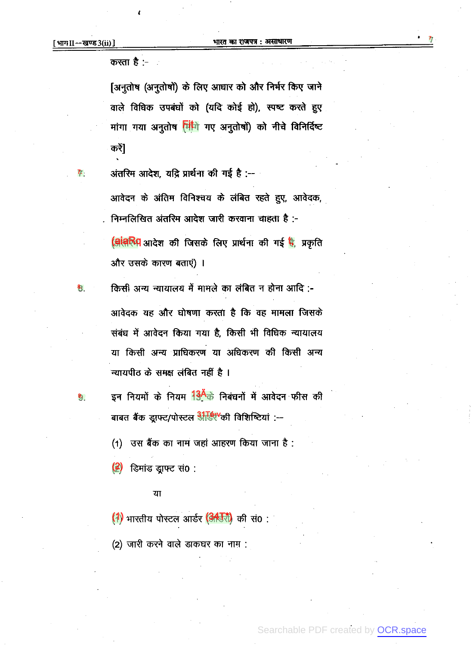7.

9.

करता है :-

[अनुतोष (अनुतोषों) के लिए आधार को और निर्भर किए जाने वाले विधिक उपबंधों को (यदि कोई हो), स्पष्ट करते हुए मांगा गया अनुतोष <mark>मिंगि</mark> गए अनुतोषों) को नीचे विनिर्दिष्ट करें]

अंतरिम आदेश, यद्रि प्रार्थना की गई है :--आवेदन के अंतिम विनिश्चय के लंबित रहते हुए, आवेदक, निम्नलिखित अंतरिम आदेश जारी करवाना चाहता है :-(बांबरिय आदेश की जिसके लिए प्रार्थना की गई है, प्रकृति

और उसके कारण बताएं) ।

किसी अन्य न्यायालय में मामले का लंबित न होना आदि :-आवेदक यह और घोषणा करता है कि वह मामला जिसके संबंध में आवेदन किया गया है, किसी भी विधिक न्यायालय या किसी अन्य प्राधिकरण या अधिकरण की किसी अन्य न्यायपीठ के समक्ष लंबित नहीं है ।

इन नियमों के नियम <sup>134</sup>के निबंधनों में आवेदन फीस की बाबत बैंक ड्राफ्ट/पोस्टल अस्थि<sup>0</sup>की विशिष्टियां :--

(1) उस बैंक का नाम जहां आहरण किया जाना है :

 $(2)$  डिमांड ड्राफ्ट सं0 :

### या

(1) भारतीय पोस्टल आर्डर (345री) की सं0:

(2) जारी करने वाले डाकघर का नाम:

Searchable PDF created by OCR.space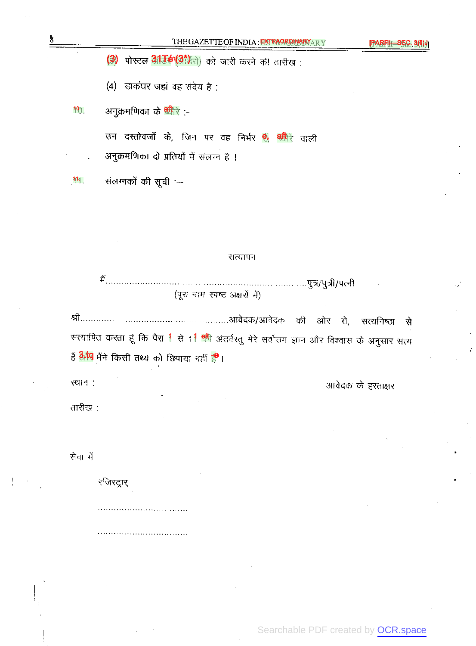(3) पोस्टल **अर्डिए(अंग्रे**रों) को जारी करने की तारीख

(4) डाकंघर जहां वह संदेय है:

अनुक्रमणिका के <mark><sup>श्री</sup>रे :</mark>- $10<sub>0</sub>$ 

> उन दस्तोवजों के, जिन पर वह निर्भर हैं, बीरे वाली अनुक्रमणिका दो प्रतियों में संलग्न है ।

111 संलग्नकों की सूची :--

### सत्यापन

(पूरा नाम स्पष्ट अक्षरों में)

सत्यनिष्ठा से सत्यापित करता हूं कि पैरा 1 से 11 <mark>श्री</mark> अंतर्वस्तु मेरे सर्वोत्तम ज्ञान और विश्वास के अनुसार सत्य हैं **अँप** मैंने किसी तथ्य को छिपाया नहीं है।

स्थान:

तारीख :

सेवा में

रजिस्ट्रार,

. . . . . . . . . . . . . . . . . . . .

आवेदक के हस्ताक्षर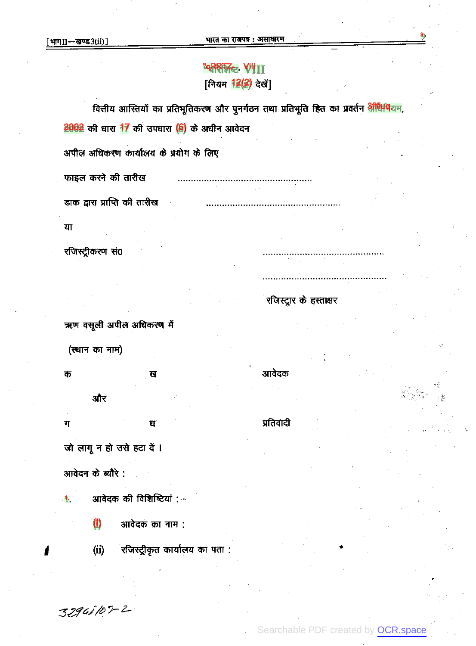9

# "qRRTZ- VIII<sub>II</sub> [नियम 12(2) देखें]

वित्तीय आस्तियों का प्रतिभूतिकरण और पुनर्गठन तथा प्रतिभूति हित का प्रवर्तन **अधिमय**यम,

रजिस्ट्रार के हस्ताक्षर

आवेदक

प्रतिवादी

 $2002$  की घारा 17 की उपघारा (6) के अधीन आवेदन

अपील अधिकरण कार्यालय के प्रयोग के लिए

फाइल करने की तारीख

डाक द्वारा प्राप्ति की तारीख

या

रजिस्ट्रीकरण सं0

ऋण वसूली अपील अधिकरण में

ख

(स्थान का नाम)

क और

ग घ

जो लागू न हो उसे हटा दें। आवेदन के ब्यौरे :

आवेदक की विशिष्टियां :-1.

> (i) आवेदक का नाम :

रजिस्ट्रीकृत कार्यालय का पता :  $(ii)$ 

32945107-2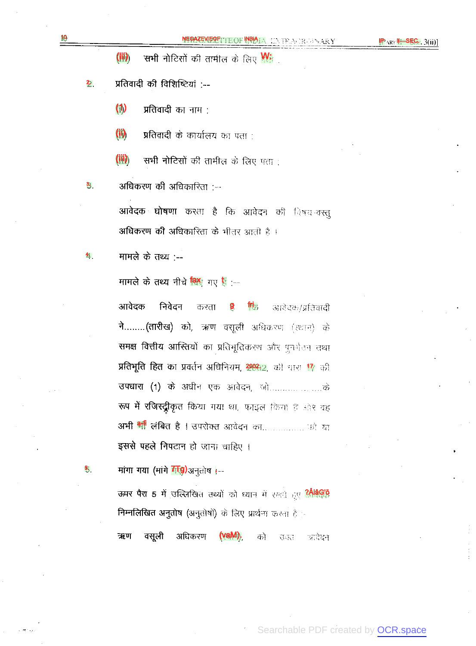PART .36ii)

 $(1)$ सभी नोटिसों की तामील के लिए <mark>W</mark>

प्रतिवादी की विशिष्टियां :-- $\overline{2}$  .

> $(1)$ प्रतिवादी का नाम :

 $\mathbf{\mathbf{\mathsf{\left(}}ii\mathsf{\right)}}$ प्रतिवादी के कार्यालय का पता :

 $(iii)$ सभी नोटिसों की तामील के लिए पता ;

अधिकरण की अधिकारिता :---3,

> आवेदक घोषणा करता है कि आवेदन की विषय-वस्तु अधिकरण की अधिकारिता के भीतर आती है।

मामले के तथ्य :--41

मामले के तथ्य नीचे <sup>विश्</sup>र गए हैं :--

आवेदक निवेदन आवेदक/प्रतिवादी करता  $\mathbf{m}_5$ ने........(तारीख) को, ऋण वसूली अधिकरण (ख्यान) के समक्ष वित्तीय आस्तियों का प्रतिभूतिकरण और पुनर्गंडन तथा प्रतिभूति हित का प्रवर्तन अधिनियम, 2002,2, की धारा 17 की रूप में रजिस्ट्रीकृत किया गया था, फाइल किया है ओर वह इससे पहले निपटान हो जाना चाहिए ।

मांगा गया (मांगे 7 0)अनुतोष |--

5.

ऊपर पैरा 5 में उल्लिखित तथ्यों को ध्यान में रखते हुए <mark>? भिवेक्षि</mark> निम्नलिखित अनुतोष (अनुतोषों) के लिए प्रार्थना करता है :-

ऋण वसूली अधिकरण को 万定 ारदेदन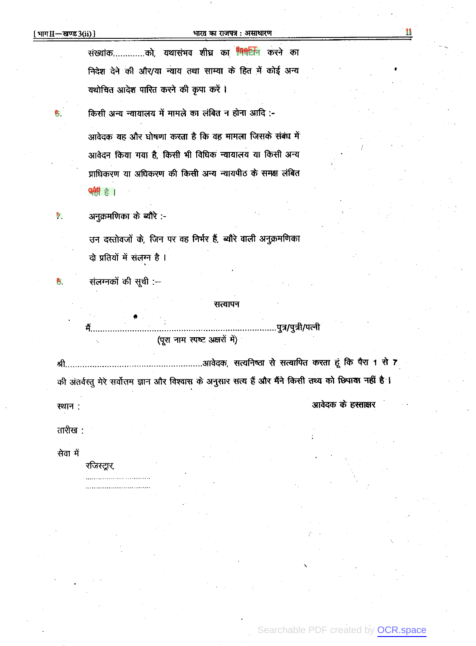11

|         | संख्यांक………….को, यथासंभव शीघ्र का <mark>पिक्ष्टिनि</mark> करने का                                       |                    |
|---------|---------------------------------------------------------------------------------------------------------|--------------------|
|         | निदेश देने की और/या न्याय तथा साम्या के हित में कोई अन्य                                                |                    |
|         | यथोचित आदेश पारित करने की कृपा करें ।                                                                   |                    |
| ნ.      | किसी अन्य न्यायालय में मामले का लंबित न होना आदि :-                                                     |                    |
|         | आवेदक यह और घोषणा करता है कि वह मामला जिसके संबंध में                                                   |                    |
|         | आवेदन किया गया है, किसी भी विधिक न्यायालय या किसी अन्य                                                  |                    |
|         | प्राधिकरण या अधिकरण की किसी अन्य न्यायपीठ के समक्ष लंबित                                                |                    |
|         | <b>예행 승  </b>                                                                                           |                    |
| 74.     | अनुक्रमणिका के ब्यौरे :-                                                                                |                    |
|         | उन दस्तोवजों के, जिन पर वह निर्भर हैं, ब्यौरे वाली अनुक्रमणिका                                          |                    |
|         | दो प्रतियों में सलग्न है ।                                                                              |                    |
| පී.     | संलग्नकों की सूची :--                                                                                   |                    |
|         | सत्यापन                                                                                                 |                    |
|         | पुत्र/पुत्री/पत्नी<br>में प                                                                             |                    |
|         | (पूरा नाम स्पष्ट अक्षरों में)                                                                           |                    |
| श्री    | आवेदक, सत्यनिष्ठा से सत्यापित करता हूं कि पैरा 1 से 7                                                   |                    |
|         | की अंतर्वस्तु मेरे सर्वोत्तम ज्ञान और विश्वास के अनुसार सत्य हैं और मैंने किसी तथ्य को छिपाया नहीं है । |                    |
| स्थान:  |                                                                                                         | आवेदक के हस्ताक्षर |
| तारीख : |                                                                                                         |                    |
|         |                                                                                                         |                    |

सेवा मे

रजिस्ट्रार,

........................... ...........................

Searchable PDF created by **OCR.space**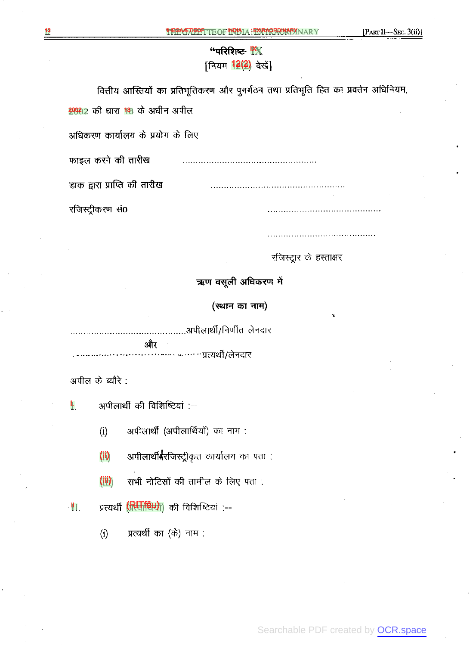[PART II-SEC. 3(ii)]

|                                | "परिशिष्ट- $\mathbb{K}$ |  |
|--------------------------------|-------------------------|--|
| [नियम <mark>12(2)</mark> देखे] |                         |  |

वित्तीय आस्तियों का प्रतिभूतिकरण और पुनर्गठन तथा प्रतिभूति हित का प्रवर्तन अधिनियम, 2002 की घारा 18 के अघीन अपील अधिकरण कार्यालय के प्रयोग के लिए फाइल करने की तारीख डाक द्वारा प्राप्ति की तारीख रजिस्ट्रीकरण सं0

रजिस्ट्रार के हस्ताक्षर

ऋण वसूली अधिकरण में

(स्थान का नाम)

..........अपीलार्थी/निर्णीत लेनदार और . . *. . . .* .... . . . . . . . . . प्रत्यर्थी/लेनदार

अपील के ब्यौरे :

I. अपीलार्थी की विशिष्टियां :--

> अपीलार्थी (अपीलार्थियों) का नाम:  $(i)$

अपीलार्थीईरजिस्ट्रीकृत कार्यालय का पता : (ii)

(iii) सभी नोटिसों की तामील के लिए पता :

II. प्रत्यर्थी (Ruitau) की विशिष्टियां :--

> प्रत्यर्थी का (के) नाम :  $(i)$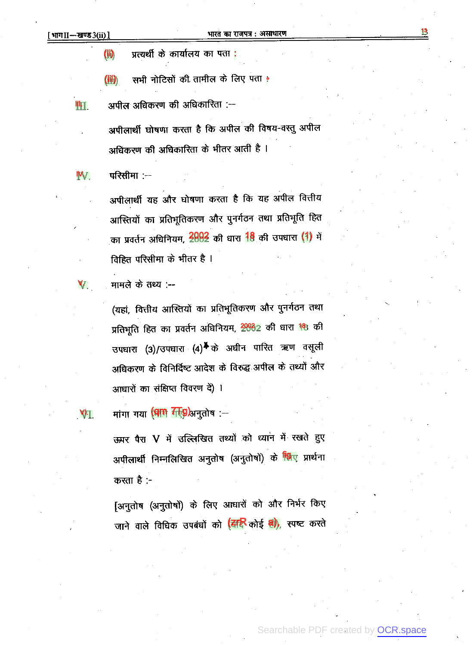13

(ii) प्रत्यर्थी के कार्यालय का पता :

(iil)) सभी नोटिसों की तामील के लिए पता •

अपील अधिकरण की अधिकारिता :--Ill.

> अपीलार्थी घोषणा करता है कि अपील की विषय-वस्तु अपील अधिकरण की अधिकारिता के भीतर आती है ।

परिसीमा :--IV.

> अपीलार्थी यह और घोषणा करता है कि यह अपील वित्तीय आस्तियों का प्रतिभूतिकरण और पुनर्गठन तथा प्रतिभूति हित का प्रवर्तन अधिनियम, 2002 की धारा 18 की उपधारा (1) में विहित परिसीमा के भीतर है ।

मामले के तथ्य :-- $\mathbf{V}$ .

> (यहां, वित्तीय आस्तियों का प्रतिभूतिकरण और पुनर्गठन तथा प्रतिभूति हित का प्रवर्तन अधिनियम, 20082 की धारा 18 की उपधारा (3)/उपधारा (4)<sup>\$</sup> के अघीन पारित ऋण वसूली अधिकरण के विनिर्दिष्ट आदेश के विरुद्ध अपील के तथ्यों और आधारों का संक्षिप्त विवरण दें) ।

VI.

मांगा गया (पांगे *नि*ष्ठि)अनुतोष :--

ऊपर पैरा V में उल्लिखित तथ्यों को ध्यान में रखते हुए अपीलार्थी निम्नलिखित अनुतोष (अनुतोषों) के <mark>पिए</mark> प्रार्थना करता है :-

[अनुतोष (अनुतोषों) के लिए आधारों को और निर्भर किए जाने वाले विधिक उपबंधों को <mark>(दारि</mark> कोई **वो),** स्पष्ट करते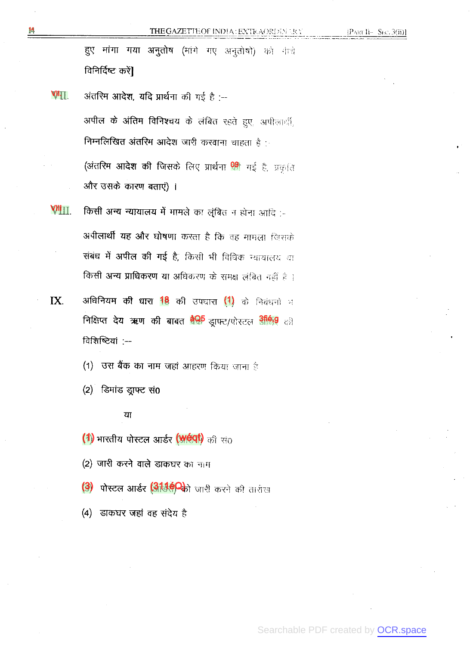हुए मांगा गया अनुतोष (मांगे गए अनुतोषों) को नीचे विनिर्दिष्ट करें]

VIIT. अंतरिम आदेश, यदि प्रार्थना की गई है :--अपील के अंतिम विनिश्चय के लंबित रहते हुए, अपीलार्थी, निम्नलिखित अंतरिम आदेश जारी करवाना चाहता है :-(अंतरिम आदेश की जिसके लिए प्रार्थना <mark>99</mark> गई है, प्रकृति और उसके कारण बताएं) ।

किसी अन्य न्यायालय में मामले का लुंबित न होना आदि :-VIII I अपीलार्थी यह और घोषणा करता है कि वह मामला जिसके संबंध में अपील की गई है, किसी भी विधिक न्यायातय था किसी अन्य प्राधिकरण या अधिकरण के समक्ष लंबित नहीं है ।

अधिनियम की धारा 18 की उपघारा (1) के निबंधनों भ निक्षिप्त देय ऋण की बाबत <sup>बैक्षि</sup> ड्राफ्ट/पोस्टल <sup>316,9</sup> की विशिष्टियां :--

(1) उस बैंक का नाम जहां आहरण किया जाना है

 $(2)$  डिमांड ड्राफ्ट सं $0$ 

# या

(1) भारतीय पोस्टल आर्डर (Weat) की सं0

(2) जारी करने वाले डाकघर का नाम

- (3) पोस्टल आर्डर (313.00 को जारी करने की तारीख
- (4) डाकघर जहां वह संदेय है

14

IX.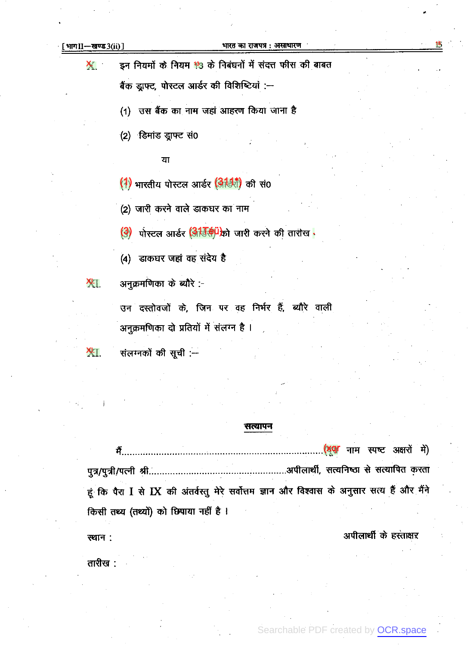### भारत का राजपत्र : असाधारण

इन नियमों के नियम 13 के निबंधनों में संदत्त फीस की बाबत X.

बैंक ड्राफ्ट, पोस्टल आर्डर की विशिष्टियां :-

(1) उस बैंक का नाम जहां आहरण किया जाना है

 $(2)$  डिमांड ड्राफ्ट सं $0$ 

या

(1) भारतीय पोस्टल आर्डर (असी) की सं0

(2) जारी करने वाले डाकघर का नाम

(3) पोस्टल आर्डर (अर्हिस्ट्री को जारी करने की तारीख

(4) डाकघर जहां वह संदेय है

अनुक्रमणिका के ब्यौरे :-XH.

> उन दस्तोवजों के, जिन पर वह निर्भर हैं, ब्यौरे वाली अनुक्रमणिका दो प्रतियों में संलग्न है ।

संलग्नकों की सूची :--<u>ХП.</u>

### सत्यापन

मैं हूं कि पैरा I से IX की अंतर्वस्तु मेरे सर्वोत्तम ज्ञान और विश्वास के अनुसार सत्य हैं और मैंने किसी तथ्य (तथ्यों) को छिपाया नहीं है ।

अपीलार्थी के हस्ताक्षर

तारीख :

स्थान :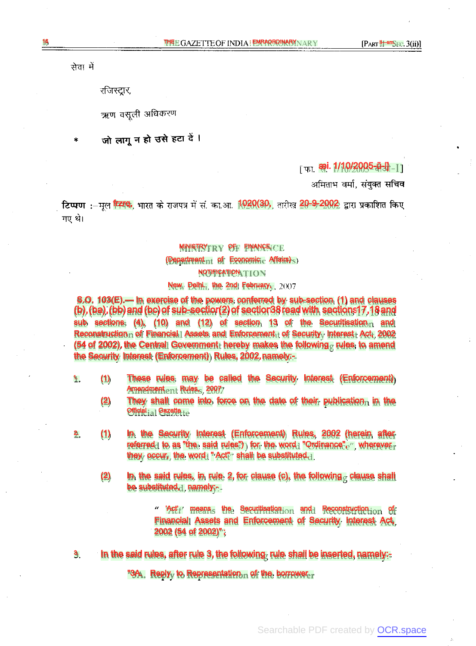सेवा मे

रजिस्ट्रार,

ऋण वसली अधिकरण

जो लागू न हो उसे हटा दें ।

⊺ ար **æi. 1/10/2005-ü-l]** ⊥⊺

अमिताभ वर्मा, संयुक्त सचिव

**टिप्पण :**-मुल स्थिप, भारत के राजपत्र में सं. का.आ. 1020(30), तारीख 20-9-2002 द्वारा प्रकाशित किए गए थे।

### MINISTRY PRY OF FINANCE CE

### $(\mathsf{Department_{nt}} \; \mathsf{of} \; \mathsf{Economique} \; \mathsf{Affains})$

## NOTIFICATION

## New Delhi. the 2nd February, 2007

S.O. 103(E).— In exercise of the powers conferred by sub-section (1) and clauses (b),(ba),(bb)and(bc)of sub-section(2)of section38readwith sections17,18and sub sections: (4), (10) and (12) of section 13 of the Securitisation and Reconstruction of Financial I Assets and Enforcement of Security Interest Act, 2002 (54 of 2002), the Central Government hereby makes the following rules to amend the Security Interest (Enforcement) Rules, 2002,namely:-

- 1. (1) These rules may be called the Security Interest (Enforcement) Amendment Rules, 2007
	- (2) They shall come into force on the date of their publication in the Official <sub>ia</sub>l Gazette<sub>te</sub>
- 2. (1) In the Security Interest (Enforcement) Rules, 2002 (herein after referred to as "the said rules") for the word "Ordinance" $e''$ , wherever they occur, the word "  $Act''$  shall be substituted.
	- (2) In the said rules, in rule 2, for clause (c), the following clause shall be substituted, namely:--

"  $Arff$  means, the Securitisation and Reconstruction of Financial Assets and Enforcement of Security Interest Act, 2002 (54 of 2002)" ;

3. In the said rules, after rule 3, the following rule shall be inserted, namely:-

"3A. Reply, to Representation of the borrower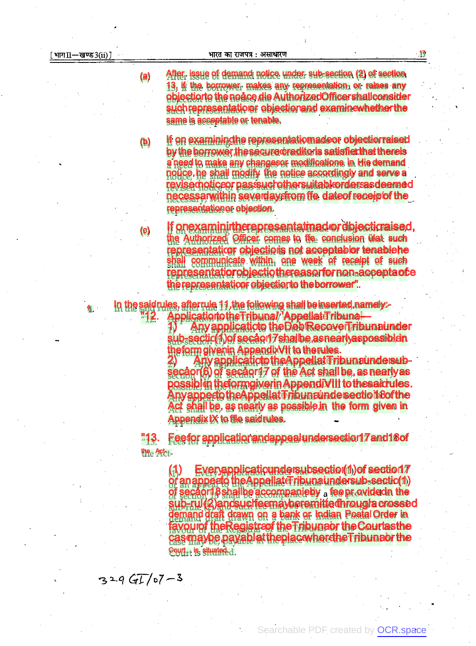(a)

 $(b)$ 

(c)

After, issue of demand notice under sub-section (2) of section 13, if the borrower makes any representation or raises any objectionto the noåce die AuthorizedOfficershallconsider such representation r objection and examinewhether the same is acceptable or tenable.

If on examining the representatiomadeor objectiorraised by the borrower the secure creditoris satisfied hat there is a need to make any changesor modifications in Hie dernand notice, he shall modify the notice accordingly and serve a revised oticeor passsuch other suitable orders as deemed necessarwithin severdaysfrom ffe dateof receip of the representation or objection.

If onexaminintherepresentatmador dbjecticraised, the Authorized Officer comes to the conclusion ülat such representatior objections not acceptablor tenablehe shall communicate within, one week of receipt of such representatiorobjectiothereasorfornon-acceptaofe the representation objection to the borrower".

In the said rules, after rule 11, the following shall be inserted, namely:-Applicationto the Tribunal/ Appellat Tribunal

**Any applicatioto the Deb RecoverTribunaunder** sub-sectic(1) of secao 17 shall be as nearly as possible in theform givenin AppendixVII to therules.

Any applicatioto the Appellat Tribunaunde subsecapr(6) of secapr17 of the Act shall be, as nearly as possiblin theformgiverin AppendiVIII to thesaicrules. Anyappecto the Appellat Tribun runde section 8 of the Act shall be, as nearly as possible in the form given in **Appendix IX to file said rules.** 

"13. Feefor applicationandappeal undersection17 and 18 of the Act-

> $(1)$ Everyapplicatioundersubsection(1) of section17 or an appealo the Appellate Fribunaundersub-sectio(1) of secaor18 shallbe accompanieby a fee provided in the<br>sub-rul(2) and such eemay beremitted hrough a crossed demand draft drawn on a bank or Indian Postal Order in avourof the Registra fthe Tribuna or the Courtas the cas maybe payablat the plac where the Tribuna or the Court<sub>ri</sub> is situated d.

 $329G$   $57-3$ 

 $\mathbf{1}$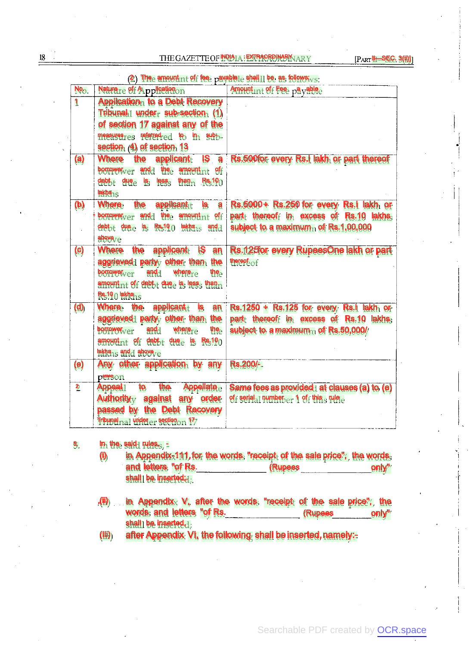THE GAZETTE OF **INPIA : EXTRAORDINARY** ARY

|                   | (2) The amount nt of fee payable shall be as follows;                                  |                                                                                           |
|-------------------|----------------------------------------------------------------------------------------|-------------------------------------------------------------------------------------------|
| NO <sub>D</sub>   | Naturere of Applicationon                                                              | Amountunt of Fee payable                                                                  |
| $\mathbf{1}$      | Application to a Debt Recovery                                                         |                                                                                           |
|                   | Tribunal under sub-section $(1)$                                                       |                                                                                           |
|                   | of section 17 against any of the                                                       |                                                                                           |
|                   | measures referred ed to in sub-                                                        |                                                                                           |
|                   | section (4) of section 13                                                              |                                                                                           |
| (a)               | applicant IS a<br>Where the                                                            | Rs.500for every Rs.I lakh or part thereof                                                 |
|                   | borrower $_{\rm ver}$ and the amount $_{\rm nt}$ of                                    |                                                                                           |
|                   | $\frac{\text{depth}}{\text{depth}}$ due is less than Rs.10                             |                                                                                           |
|                   | lakhs <sub>15</sub>                                                                    |                                                                                           |
| (b)               | applicant <sub>t</sub> is a<br>Where the                                               | Rs.5000+ Rs.250 for every Rs.I lakh or                                                    |
|                   | borrower $_{\rm ver}$ and the amount $_{\rm nt}$ of f                                  | part thereof in excess of Rs.10 lakhs.                                                    |
|                   | debt <sub>ot</sub> due as Rs-100 lakhs <sub>15</sub> and                               | subject to a maximum of $Rs.1,00,000$                                                     |
|                   | above $_{7}e$                                                                          |                                                                                           |
| $\left( 6\right)$ | Where the applicant IS<br>an                                                           | Rs.125 for every RupeesOne lakh or part                                                   |
|                   | aggrieved party other than the                                                         | therept.of                                                                                |
|                   | where $r_{\odot}$<br>$\mathsf{porrowel}_{V\ominus\Upsilon}$<br>and<br>the <sub>e</sub> |                                                                                           |
|                   | amount $nt$ of debt, due is less than                                                  |                                                                                           |
|                   | $Rs.100$ lakhs                                                                         |                                                                                           |
| (d)               | applicant is an<br>Where the                                                           | Rs.1250 + Rs.125 for every Rs.1 lakh or                                                   |
|                   | aggrieved party other than the                                                         | part thereof in excess of Rs.10 lakhs.                                                    |
|                   | borrower $_{\text{OPT}}$ and<br>where $_{\rm re}$<br>the                               | subject to a maximum of $Rs.50,000/$                                                      |
|                   | amount $n_t$ of debt <sub>1</sub> due is Rs.10                                         |                                                                                           |
|                   | lakhs <sub>15</sub> and above <sub>7e</sub>                                            |                                                                                           |
| (e)               | Any other application by any                                                           | Rs.200/-                                                                                  |
|                   | personon                                                                               |                                                                                           |
| $\overline{2}$    | Appeal to the                                                                          | Appellate Same fees as provided at clauses (a) to (e)<br>of serial pumber a of this rule. |
|                   | Authority <sub>y</sub> against any order                                               |                                                                                           |
|                   | passed by the Debt Recovery<br>Tribunal nal under er section on 17                     |                                                                                           |
|                   |                                                                                        |                                                                                           |

5. In the said rules,

- (i) in Appendix-111, for the words "receipt of the sale price", the words and letters "of Rs. (Rupees shall) be inserted; only"
- , (ii) in Appendix  $V$ , after the words "receipt of the sale price", the words and letters "of Rs. (Rupees only" shall be inserted $d$ ;
- (Ili) after Appendix VI, the following shall be inserted, namely:-

 $18\,$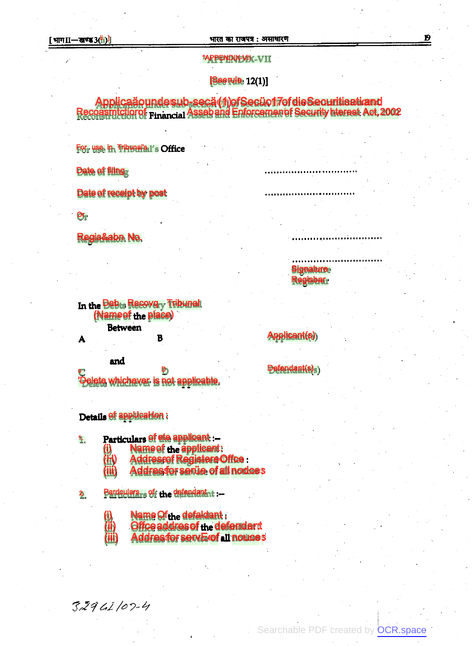19

## "APPENDIX-VIIK-VII

 $[Seerule 12(1)]$ 

Applicaäoundesub-secä (1) of Secüo17 of die Securitisati and<br>Recoasmiction of Financial Asseband Enforcement of Security hiterest Act, 2002

For use in Tribunal's 1's Office

Date of filing

Date of receipt by post

 $O_{\Gamma}$ 

A

Regis&abn No.

In the Debts Recovery Tribunal (Nameof the place) **Between** 

B

and

'Delete whichever is not applicable.

D)

Details of appUcaHon :

Particulars of ete applicant :-1.

U)

H)

**Name of the applicant:<br>Addressof Registere Offce :<br>Addressfor sertie of all nodces** (iii)

Bardculars, of the defendant :-2.

Name Ofthe defaldant:

Offce addres of the defendant

(iii) **Addres for servE of all nouces** 

 $32961/07 - 4$ 

(ii

**Signature Regisbar** 

**Applicant(s)** 

Defendant(s)<sub>s</sub>)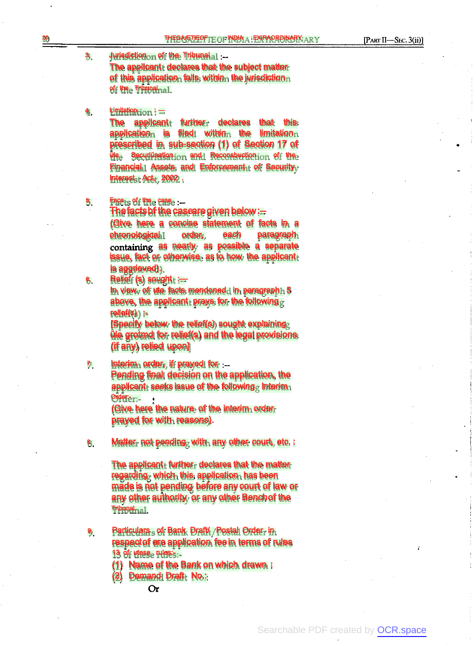3.

Jurisdiction of the Tribunal :--The applicant declares that the subject matter of this application falls within the jurisdiction of the Tribunal<sub>nal.</sub>

#### 4. Limitation : —

The applicant further declares that this application is filed within the limitation prescribed in sub-section (1) of Section 17 of üle Securiüsation and Reconsbuction of the Financial 1 Assets and Enforcement t of Security Interest<sub>1</sub>: Act, 2002.

5. Face<sub>ts</sub> of the case :-

> Thefactsbf the casearegiven below:-- (Give here a concise statement of facts in a chronological order, each paragraph containing as nearly as possible a separate issue, fact or otherwise as to how the applicant is aggrieved).

- 6.
- Relief (s) sought :==

In view of ute facts mendonedd in paragraph 5 above, the applicant prays for the following relief(s) :-

[Specify below the relief(s) sought explaining üle grotmd for relief(s) and the legal provisions (if any) relied upon]

7. Interim order, if prayed for .--Pending final decision on the application, the applicant seeks issue of the following  $\epsilon$  Interim Order:-

> (Give here the nature of the interim order prayed for with reasons).

8. Matter, not pending, with any other court, etc. :

> The applicant  $f$  further declares that the matter regarding which this application has been made is not pending before any court of law or any other authority or any other Benchof the Tribunal.

- 9. Particulars of Bank Draft / Postal Order in respectof ere application feein terms of rules 13 of  $u$ tese<sub> $e$ </sub> rules: $s_{1}$ 
	- (1) Name of the Bank on which drawn :
	- (2) Demand Draft No.:
		- $\Omega$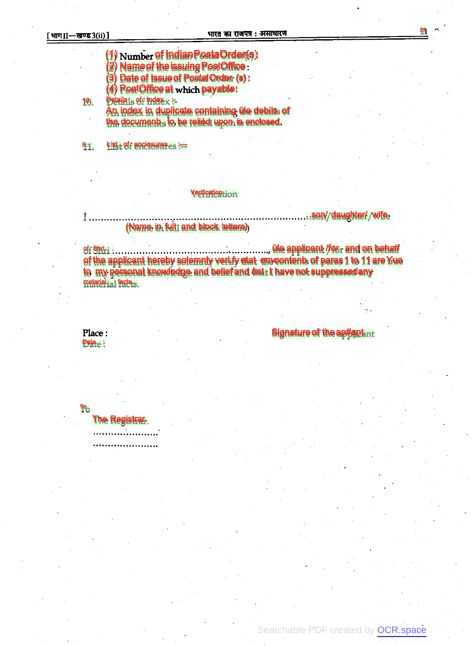10.

(1) Number of Indian Posta Order(s):<br>(2) Name of the issuing PostOffice : (3) Date of Issue of Postal Order (s): (4) PostOffice at which payable: **Details1s of findex :-**

An index in duplicate containing üle debils of the document, to be reliéd upon is enclosed.

List of enclosureses := 44.

## Verificationhon

### $1$ ............. (Name in full1 and block letters).

of the applicant hereby solemnly verify etat emcontent of paras 1 to 11 are Yue to my personal knowledge and belief and dat thave not suppressedany material ia1 facts.

Place: Date  $_{\odot}$  :

Tዓ<br>

**The Registrar.** 

. . . . . . . . . . . . . . . . . . .

**Signature of the ap#ant.nt** 

Searchable PDF created by OCR.space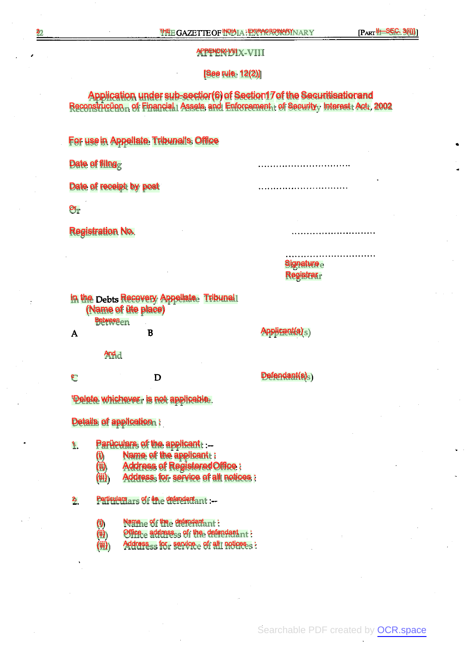# APPENDIX-VIII

### [See rule 12(2)]

Application under sub-section(6) of Section17 of the Securitisationand Reconstrucüon of Financial Assets and Enforcement of Security Interest Act, 2002

# For usein Appellate Tribunal's Office

Date of filing<sub>g</sub>

Date of receipt by post

 $\mathbf{Or_{T}}$ 

Registration No.

Signature $\rm e$ Registrar

In the Debts Recovery Appellate Tribunal! (Name of üte place) **Between**en

Applicant(s)<sub>S</sub>)  $\overline{A}$ B And d

Defendant(s)<sub>5</sub>) c D

'Delete whichever is not applicable.

Details of application :

#### 1. Parüculars of the applicant: .-

- (i) Name of the applicant :
- (ii) Address of RegisteredOffice :
- (iii) Address for service of all notices :

2. Particulars ars of the defendant :--

- (i) Name of the defendant in
- (ii) Office  $_{\rm e}$  address<sub>ss</sub> of the defendant  $_{\rm nt}$  :
- (iii) Address<sub>ss</sub> for service of all noticess:

Searchable PDF created by [OCR.space](https://ocr.space/r=p)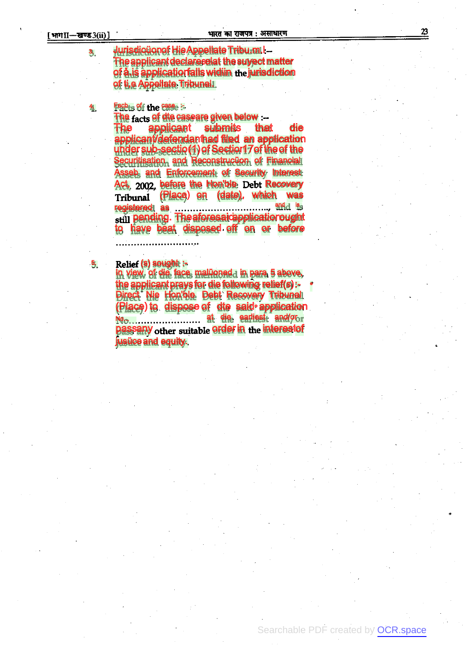3,

4.

durisdictionef Hie Appellate Tribu.m.l-The applicant declares elat the survect matter of a is applicatiorfalls widiin the jurisdiction of ti,e Appellate Tribunal.

# Facb<sub>ts</sub> of the case is

The facts of die caseare given below :-applicant submits that The **die** applicant/defendanthad filed an application under sub-sectio (1) of Section 17 of the of the Securitisation, and Reconstruction of Financial Asseb, and Enforcement of Security Interest Act, 2002, before the Hon'ble Debt Recovery Tribunal (Place) on (date), which was still pending. The aforesaic applicatior ought to have beat disposed off on or before

Relief (s) sought :-5.

In view, of die face, malüonada in para 5 above, the applicant prays for die following relief(s):-**Direct Nie Hon'ble Debt Recovery Tribunal** (Place) to dispose of dte said application passany other suitable order in the interestof jusüce and equity.

23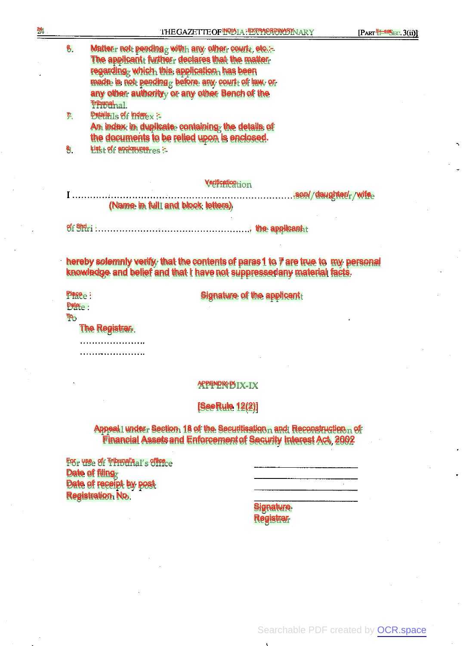$[PART 11-88]$ <sub>BC</sub>. 3(ii)]

| 6, | Matteur not pending with any other court, etc.:- |
|----|--------------------------------------------------|
|    | The applicant further declares that the matter   |
|    | regarding which this application has been        |
|    | made is not pending before any court of law or   |
|    | any other authority, or any other Bench of the   |
|    | Tribunal <sub>na</sub> l.                        |
| 7. | Details $1s$ of $r$ index $\sim$                 |
|    | An indov in duplicate containing the details of  |

An index in duplicate containing the details of the documents to be relied upon is enclosed.

8. List<sub>t</sub> of enclosures :-

## Verification

.son/ daughter/ wife (Name in full and block letters)

of Shri . . the applicant

hereby solemnly verify that the contents of paras 1 to 7 are true to my personal knowledge and belief and that I havenot suppressedany material facts.

Place e:

Signature of the applicant

**Date:** To

24

The Registrar.

..................... 

## APPENDIX-IX

# [SeeRule 12(2)]

Appeal 1 under Section 18 of the Securitisation and Reconstruction of Financial Assetsand Enforcementof Security Interest Act, 2002

For use of Tribunal's al's office Date of filing Date of receipt by post Registration No.

**Signature Registrar** 

Searchable PDF created by [OCR.space](https://ocr.space/r=p)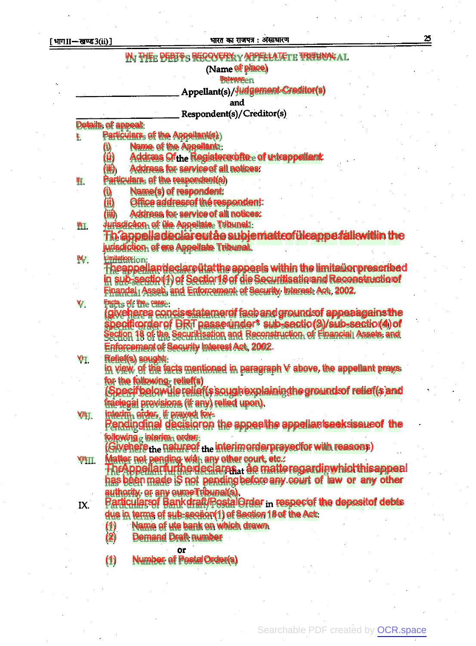# [भाग II-खण्ड 3(ii)]

# भारत का राजपत्र : असाधारण

25

|              | IN THEE PEBTSS RECOVERIXY APPELLATETE TRIBUNALAL                                                     |
|--------------|------------------------------------------------------------------------------------------------------|
|              | (Name of place)                                                                                      |
|              | <b>Betweenern</b>                                                                                    |
|              | Appellant(s)/ Judgement Creditor(s)                                                                  |
|              | and                                                                                                  |
|              | Respondent(s)/Creditor(s)                                                                            |
|              | <b>Details of appeal:</b>                                                                            |
| Ļ,           | Particulars, of the Appellant(s)                                                                     |
|              | <b>Name of the Appellant:</b><br>Addræs Of the Registera offree of unteappellant:                    |
|              | $\langle$ iii)<br>Address for service of all notices:                                                |
| Щ.           | Particulars, of the respondent(s)                                                                    |
|              | Name(s) of respondent:                                                                               |
|              | Office addressof thé respondent:                                                                     |
|              | <b>Address for service of all notices:</b>                                                           |
| ᄟ.           | Jurisdicãon of üie Appellate Tribunal:                                                               |
|              | Th appelladeclareutåe subjematt of ülcappe falls within the                                          |
|              | jurisdiction of ere Appellate Tribunal.                                                              |
| IV.          | Limitation: on:                                                                                      |
|              | Theappellandeclare ütat the appeals within the limitation prescribed                                 |
|              | in sub-sectio(1) of Sectior18 of die Securitisationand Reconstruction                                |
|              | Finandal Asseb, and Enforcement of Security Interest Act, 2002.                                      |
| V.           | Facts of the case.                                                                                   |
|              | (giveherea concis statemer of facb and ground of appea agains the                                    |
|              | specificorder of DRT passed nder* sub-sectio(3)/sub-sectio(4) of                                     |
|              | Section 18 of the SecuriHsation and Reconstruction of Financial Assets and                           |
|              | <b>Enforcement of Security Interest Act, 2002.</b>                                                   |
| VH.          | <b>Relief(s) sought:</b><br>In view of the facts mentioned in paragraph V above, the appellant prays |
|              | for the following relief(s)                                                                          |
|              | (Specifbelowüle relief(s sough explaining he ground of relief(s and                                  |
|              | traelegal provisions (if any) relied upon).                                                          |
| VIII.        | Interim, order, if prayed fov-                                                                       |
|              | Pendingfinal decisioron the appealthe appellantseeksissue of the                                     |
|              | following c interim order:                                                                           |
|              | (Givehere <sub>the</sub> natureof the interimorder prayed for with reasons)                          |
| <b>VIII.</b> | Matter not pending wian any other court, etc.:                                                       |
|              | The Appellanfurthe declares at a ematter egardin which this appeal                                   |
|              | has been made iS not pending before any court of law or any other                                    |
|              | authority or any oumeTribunal(s).                                                                    |
| IX.          | Particulars of Bankdraft/PostalOrder in respect the deposit of debts                                 |
|              | due in terms of sub-secäon(1) of Section 18 of the Act:                                              |
|              | Name of ute bank on which drawn<br>$\mathbf{I}$                                                      |
|              | (2)<br><b>Demand Draft number</b>                                                                    |
|              | or                                                                                                   |
|              | <b>Number of Postal Order(s)</b><br>(1)                                                              |

Searchable PDF created by OCR.space